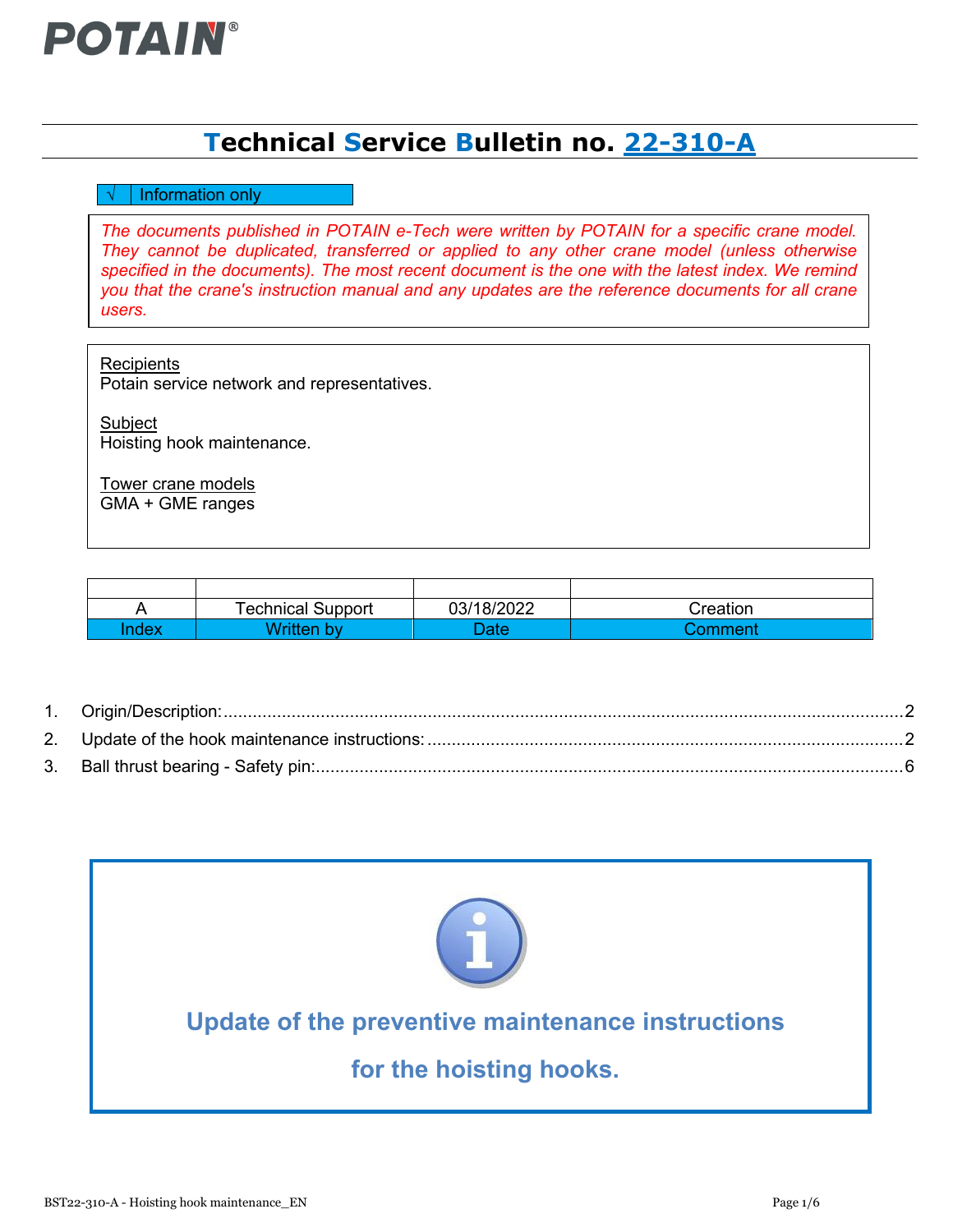

# **Technical Service Bulletin no. 22-310-A**

## $\sqrt{\phantom{a}}$  Information only

*The documents published in POTAIN e-Tech were written by POTAIN for a specific crane model. They cannot be duplicated, transferred or applied to any other crane model (unless otherwise specified in the documents). The most recent document is the one with the latest index. We remind you that the crane's instruction manual and any updates are the reference documents for all crane users.*

**Recipients** Potain service network and representatives.

**Subject** Hoisting hook maintenance.

Tower crane models GMA + GME ranges

|      | <b>Technical Support</b> | 03/18/2022 | Creation |
|------|--------------------------|------------|----------|
| ndex | Written by               | Date       | Comment  |

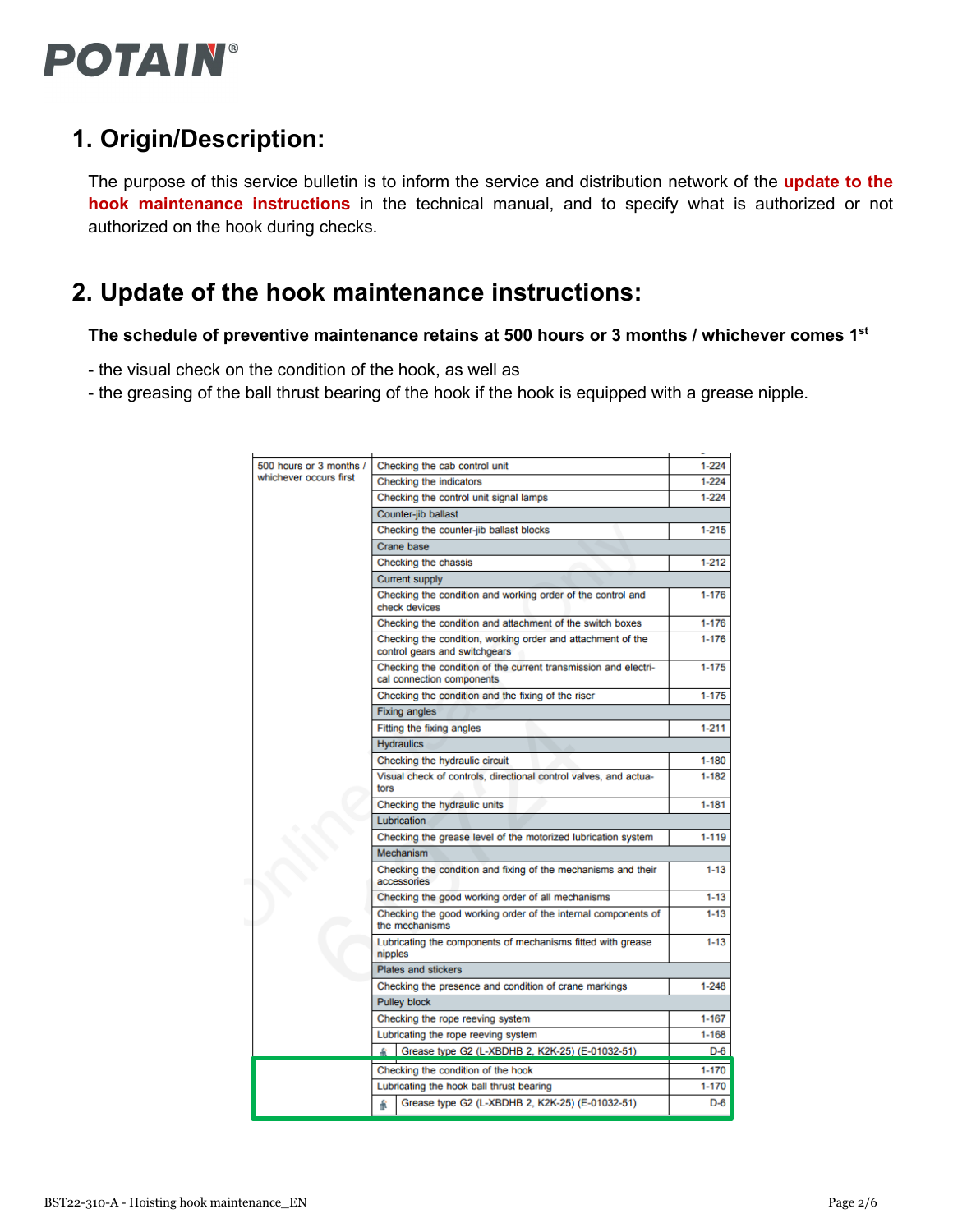

# <span id="page-1-0"></span>**1. Origin/Description:**

The purpose of this service bulletin is to inform the service and distribution network of the **update to the hook maintenance instructions** in the technical manual, and to specify what is authorized or not authorized on the hook during checks.

# <span id="page-1-1"></span>**2. Update of the hook maintenance instructions:**

**The schedule of preventive maintenance retains at 500 hours or 3 months / whichever comes 1st**

- the visual check on the condition of the hook, as well as
- the greasing of the ball thrust bearing of the hook if the hook is equipped with a grease nipple.

| 500 hours or 3 months / | Checking the cab control unit                                                                | 1-224     |
|-------------------------|----------------------------------------------------------------------------------------------|-----------|
| whichever occurs first  | Checking the indicators                                                                      | $1 - 224$ |
|                         | Checking the control unit signal lamps                                                       | $1 - 224$ |
|                         | Counter-jib ballast                                                                          |           |
|                         | Checking the counter-jib ballast blocks                                                      | $1 - 215$ |
|                         | Crane base                                                                                   |           |
|                         | Checking the chassis                                                                         | $1 - 212$ |
|                         | Current supply                                                                               |           |
|                         | Checking the condition and working order of the control and<br>check devices                 | $1 - 176$ |
|                         | Checking the condition and attachment of the switch boxes                                    | $1 - 176$ |
|                         | Checking the condition, working order and attachment of the<br>control gears and switchgears | $1 - 176$ |
|                         | Checking the condition of the current transmission and electri-<br>cal connection components | $1 - 175$ |
|                         | Checking the condition and the fixing of the riser                                           | $1 - 175$ |
|                         | <b>Fixing angles</b>                                                                         |           |
|                         | Fitting the fixing angles                                                                    | $1 - 211$ |
|                         | <b>Hydraulics</b>                                                                            |           |
|                         | Checking the hydraulic circuit                                                               | $1 - 180$ |
|                         | Visual check of controls, directional control valves, and actua-<br>tors                     | $1 - 182$ |
|                         | Checking the hydraulic units                                                                 | 1-181     |
|                         | <b>Lubrication</b>                                                                           |           |
|                         | Checking the grease level of the motorized lubrication system                                | 1-119     |
|                         | Mechanism                                                                                    |           |
|                         | Checking the condition and fixing of the mechanisms and their<br>accessories                 | 1-13      |
|                         | Checking the good working order of all mechanisms                                            | $1 - 13$  |
|                         | Checking the good working order of the internal components of<br>the mechanisms              | $1 - 13$  |
|                         | Lubricating the components of mechanisms fitted with grease<br>nipples                       | $1 - 13$  |
|                         | <b>Plates and stickers</b>                                                                   |           |
|                         | Checking the presence and condition of crane markings                                        | $1 - 248$ |
|                         | <b>Pulley block</b>                                                                          |           |
|                         | Checking the rope reeving system                                                             | 1-167     |
|                         | Lubricating the rope reeving system                                                          | $1 - 168$ |
|                         | Grease type G2 (L-XBDHB 2, K2K-25) (E-01032-51)                                              | D-6       |
|                         | Checking the condition of the hook                                                           | $1 - 170$ |
|                         | Lubricating the hook ball thrust bearing                                                     | $1 - 170$ |
|                         | Grease type G2 (L-XBDHB 2, K2K-25) (E-01032-51)<br>f                                         | $D-6$     |
|                         |                                                                                              |           |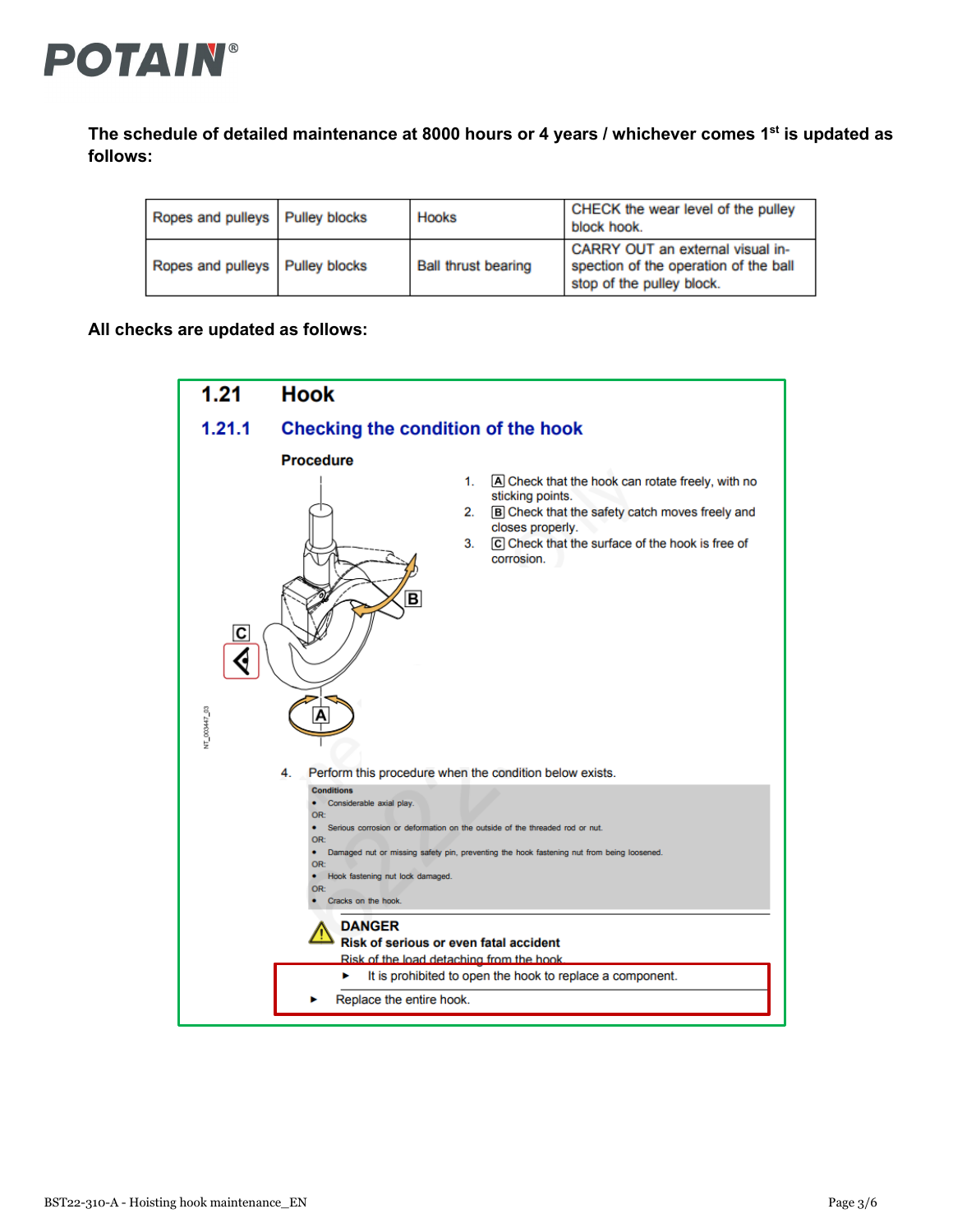

**The schedule of detailed maintenance at 8000 hours or 4 years / whichever comes 1st is updated as follows:**

| Ropes and pulleys   Pulley blocks | Hooks                      | CHECK the wear level of the pulley<br>block hook.                                                      |
|-----------------------------------|----------------------------|--------------------------------------------------------------------------------------------------------|
| Ropes and pulleys   Pulley blocks | <b>Ball thrust bearing</b> | CARRY OUT an external visual in-<br>spection of the operation of the ball<br>stop of the pulley block. |

**All checks are updated as follows:**

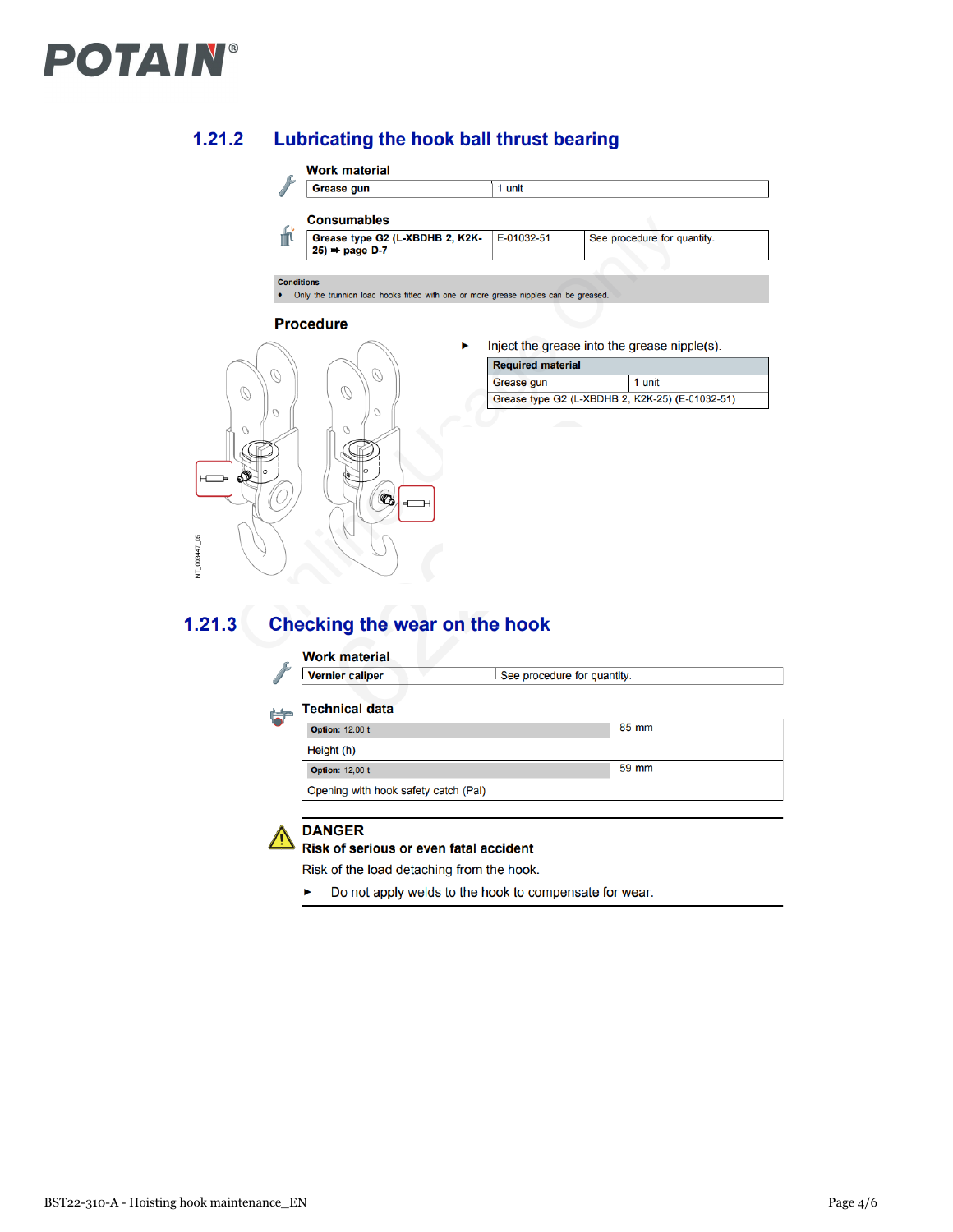# **POTAIN®**

#### $1.21.2$ Lubricating the hook ball thrust bearing

## **Work material**

| Grease gun                                                     | 1 unit     |                             |
|----------------------------------------------------------------|------------|-----------------------------|
| <b>Consumables</b>                                             |            |                             |
| Grease type G2 (L-XBDHB 2, K2K-<br>$25$ $\rightarrow$ page D-7 | E-01032-51 | See procedure for quantity. |
|                                                                |            |                             |

#### **Conditions**

 $\sigma$ 

. Only the trunnion load hooks fitted with one or more grease nipples can be great

### **Procedure**



Inject the grease into the grease nipple(s). ٠

| <b>Required material</b>                        |        |  |
|-------------------------------------------------|--------|--|
| Grease gun                                      | 1 unit |  |
| Grease type G2 (L-XBDHB 2, K2K-25) (E-01032-51) |        |  |

#### Checking the wear on the hook  $1.21.3$

## **Work material**

| <b>Vernier caliper</b> | See procedure for quantity. |
|------------------------|-----------------------------|
|                        |                             |

#### **Technical data** 的

| <b>Option: 12,00 t</b>               | 85 mm |
|--------------------------------------|-------|
| Height (h)                           |       |
| <b>Option: 12,00 t</b>               | 59 mm |
| Opening with hook safety catch (Pal) |       |



d

# **DANGER**

Risk of serious or even fatal accident

Risk of the load detaching from the hook.

K Do not apply welds to the hook to compensate for wear.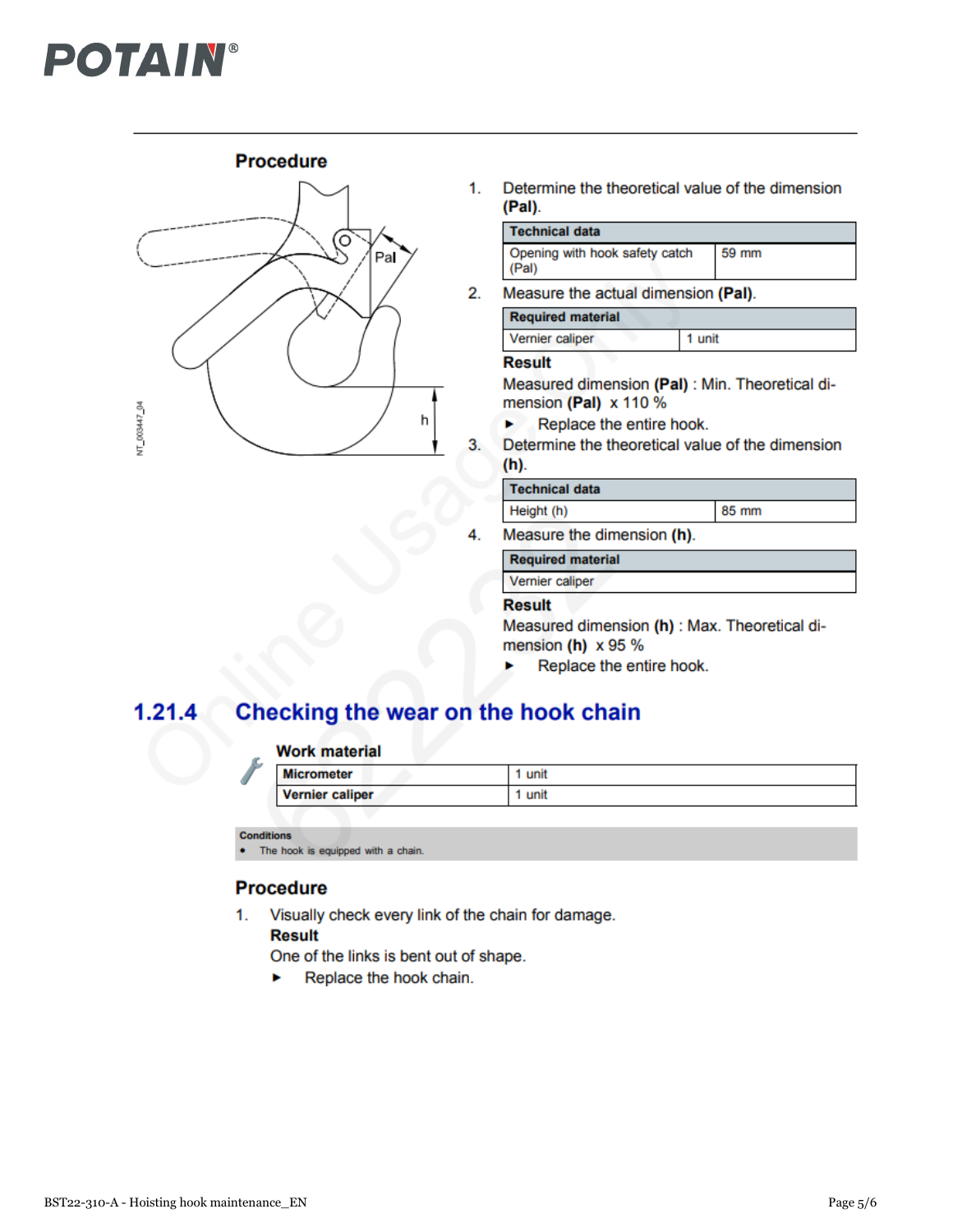# **POTAIN®**

# **Procedure**



1. Determine the theoretical value of the dimension (Pal).

| Technical data                            |         |
|-------------------------------------------|---------|
| Opening with hook safety catch<br>  (Pal) | $59$ mm |

 $2.$ Measure the actual dimension (Pal).

| <b>Required material</b> |        |
|--------------------------|--------|
| Vernier caliper          | 1 unit |

## **Result**

Measured dimension (Pal) : Min. Theoretical dimension (Pal) x 110 %

- Replace the entire hook. ь
- 3. Determine the theoretical value of the dimension  $(h)$ .

### **Technical data**

Height (h)

85 mm

4. Measure the dimension (h).

**Required material** 

Vernier caliper

# **Result**

Measured dimension (h) : Max. Theoretical dimension (h)  $x 95 %$ 

Replace the entire hook.

#### Checking the wear on the hook chain  $1.21.4$

## **Work material**

| <b>Micrometer</b>      | unit |
|------------------------|------|
| <b>Vernier caliper</b> | unit |

**Conditions** 

The hook is equipped with a chain.

# **Procedure**

1. Visually check every link of the chain for damage. **Result** 

One of the links is bent out of shape.

Replace the hook chain. ь